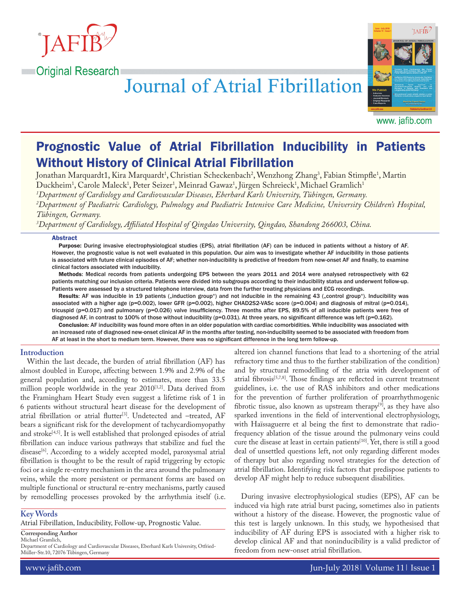

# **Journal of Atrial Fibrillation**



www. jafib.com

# Prognostic Value of Atrial Fibrillation Inducibility in Patients Without History of Clinical Atrial Fibrillation

Jonathan Marquardt1, Kira Marquardt<sup>1</sup>, Christian Scheckenbach<sup>2</sup>, Wenzhong Zhang<sup>3</sup>, Fabian Stimpfle<sup>1</sup>, Martin Duckheim<sup>1</sup>, Carole Maleck<sup>1</sup>, Peter Seizer<sup>1</sup>, Meinrad Gawaz<sup>1</sup>, Jürgen Schreieck<sup>1</sup>, Michael Gramlich<sup>1</sup>

*1 Department of Cardiology and Cardiovascular Diseases, Eberhard Karls University, Tübingen, Germany. 2 Department of Paediatric Cardiology, Pulmology and Paediatric Intensive Care Medicine, University Children's Hospital, Tübingen, Germany.*

*3 Department of Cardiology, Affiliated Hospital of Qingdao University, Qingdao, Shandong 266003, China.*

#### **Abstract**

Purpose: During invasive electrophysiological studies (EPS), atrial fibrillation (AF) can be induced in patients without a history of AF. However, the prognostic value is not well evaluated in this population. Our aim was to investigate whether AF inducibility in those patients is associated with future clinical episodes of AF; whether non-inducibility is predictive of freedom from new-onset AF and finally, to examine clinical factors associated with inducibility.

Methods: Medical records from patients undergoing EPS between the years 2011 and 2014 were analysed retrospectively with 62 patients matching our inclusion criteria. Patients were divided into subgroups according to their inducibility status and underwent follow-up. Patients were assessed by a structured telephone interview, data from the further treating physicians and ECG recordings.

Results: AF was inducible in 19 patients ("induction group") and not inducible in the remaining 43 ("control group"). Inducibility was associated with a higher age (p=0.002), lower GFR (p=0.002), higher CHAD2S2-VASc score (p=0.004) and diagnosis of mitral (p=0.014), tricuspid (p=0.017) and pulmonary (p=0.026) valve insufficiency. Three months after EPS, 89.5% of all inducible patients were free of diagnosed AF, in contrast to 100% of those without inducibility (p=0.031). At three years, no significant difference was left (p=0.162).

Conclusion: AF inducibility was found more often in an older population with cardiac comorbidities. While inducibility was associated with an increased rate of diagnosed new-onset clinical AF in the months after testing, non-inducibility seemed to be associated with freedom from AF at least in the short to medium term. However, there was no significant difference in the long term follow-up.

# **Introduction**

Within the last decade, the burden of atrial fibrillation (AF) has almost doubled in Europe, affecting between 1.9% and 2.9% of the general population and, according to estimates, more than 33.5 million people worldwide in the year  $2010^{[1,2]}$ . Data derived from the Framingham Heart Study even suggest a lifetime risk of 1 in 6 patients without structural heart disease for the development of atrial fibrillation or atrial flutter<sup>[3]</sup>. Undetected and -treated, AF bears a significant risk for the development of tachycardiomyopathy and stroke<sup>[4,5]</sup>. It is well established that prolonged episodes of atrial fibrillation can induce various pathways that stabilize and fuel the disease<sup>[6]</sup>. According to a widely accepted model, paroxysmal atrial fibrillation is thought to be the result of rapid triggering by ectopic foci or a single re-entry mechanism in the area around the pulmonary veins, while the more persistent or permanent forms are based on multiple functional or structural re-entry mechanisms, partly caused by remodelling processes provoked by the arrhythmia itself (i.e.

# **Key Words**

Atrial Fibrillation, Inducibility, Follow-up, Prognostic Value.

**Corresponding Author** Michael Gramlich,

Department of Cardiology and Cardiovascular Diseases, Eberhard Karls University, Otfried-Müller-Str.10, 72076 Tübingen, Germany

altered ion channel functions that lead to a shortening of the atrial refractory time and thus to the further stabilization of the condition) and by structural remodelling of the atria with development of atrial fibrosis<sup>[5,7,8]</sup>. Those findings are reflected in current treatment guidelines, i.e. the use of RAS inhibitors and other medications for the prevention of further proliferation of proarrhythmogenic fibrotic tissue, also known as upstream therapy<sup>[9]</sup>, as they have also sparked inventions in the field of interventional electrophysiology, with Haïssaguerre et al being the first to demonstrate that radiofrequency ablation of the tissue around the pulmonary veins could cure the disease at least in certain patients<sup>[10]</sup>. Yet, there is still a good deal of unsettled questions left, not only regarding different modes of therapy but also regarding novel strategies for the detection of atrial fibrillation. Identifying risk factors that predispose patients to develop AF might help to reduce subsequent disabilities.

During invasive electrophysiological studies (EPS), AF can be induced via high rate atrial burst pacing, sometimes also in patients without a history of the disease. However, the prognostic value of this test is largely unknown. In this study, we hypothesised that inducibility of AF during EPS is associated with a higher risk to develop clinical AF and that noninducibility is a valid predictor of freedom from new-onset atrial fibrillation.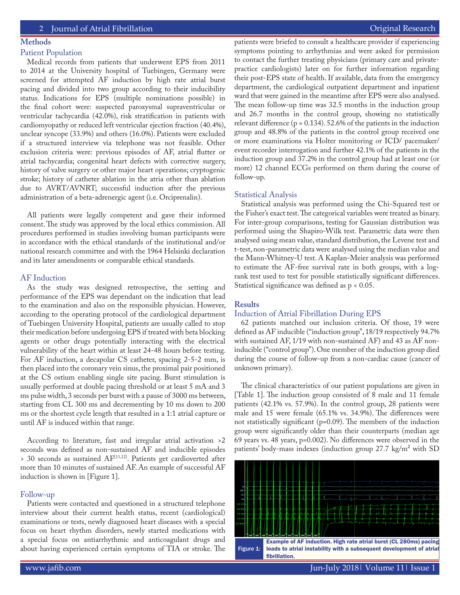# **Methods**

# Patient Population

Medical records from patients that underwent EPS from 2011 to 2014 at the University hospital of Tuebingen, Germany were screened for attempted AF induction by high rate atrial burst pacing and divided into two group according to their inducibility status. Indications for EPS (multiple nominations possible) in the final cohort were: suspected paroxysmal supraventricular or ventricular tachycardia (42.0%), risk stratification in patients with cardiomyopathy or reduced left ventricular ejection fraction (40.4%), unclear syncope (33.9%) and others (16.0%). Patients were excluded if a structured interview via telephone was not feasible. Other exclusion criteria were: previous episodes of AF, atrial flutter or atrial tachycardia; congenital heart defects with corrective surgery, history of valve surgery or other major heart operations; cryptogenic stroke; history of catheter ablation in the atria other than ablation due to AVRT/AVNRT; successful induction after the previous administration of a beta-adrenergic agent (i.e. Orciprenalin).

All patients were legally competent and gave their informed consent. The study was approved by the local ethics commission. All procedures performed in studies involving human participants were in accordance with the ethical standards of the institutional and/or national research committee and with the 1964 Helsinki declaration and its later amendments or comparable ethical standards.

# AF Induction

As the study was designed retrospective, the setting and performance of the EPS was dependant on the indication that lead to the examination and also on the responsible physician. However, according to the operating protocol of the cardiological department of Tuebingen University Hospital, patients are usually called to stop their medication before undergoing EPS if treated with beta blocking agents or other drugs potentially interacting with the electrical vulnerability of the heart within at least 24-48 hours before testing. For AF induction, a decapolar CS catheter, spacing 2-5-2 mm, is then placed into the coronary vein sinus, the proximal pair positioned at the CS ostium enabling single site pacing. Burst stimulation is usually performed at double pacing threshold or at least 5 mA and 3 ms pulse width, 3 seconds per burst with a pause of 3000 ms between, starting from CL 300 ms and decrementing by 10 ms down to 200 ms or the shortest cycle length that resulted in a 1:1 atrial capture or until AF is induced within that range.

According to literature, fast and irregular atrial activation >2 seconds was defined as non-sustained AF and inducible episodes > 30 seconds as sustained AF[11,12]. Patients get cardioverted after more than 10 minutes of sustained AF. An example of successful AF induction is shown in [Figure 1].

#### Follow-up

Patients were contacted and questioned in a structured telephone interview about their current health status, recent (cardiological) examinations or tests, newly diagnosed heart diseases with a special focus on heart rhythm disorders, newly started medications with a special focus on antiarrhythmic and anticoagulant drugs and about having experienced certain symptoms of TIA or stroke. The patients were briefed to consult a healthcare provider if experiencing symptoms pointing to arrhythmias and were asked for permission to contact the further treating physicians (primary care and privatepractice cardiologists) later on for further information regarding their post-EPS state of health. If available, data from the emergency department, the cardiological outpatient department and inpatient ward that were gained in the meantime after EPS were also analysed. The mean follow-up time was 32.5 months in the induction group and 26.7 months in the control group, showing no statistically relevant difference ( $p = 0.134$ ). 52.6% of the patients in the induction group and 48.8% of the patients in the control group received one or more examinations via Holter monitoring or ICD/ pacemaker/ event recorder interrogation and further 42.1% of the patients in the induction group and 37.2% in the control group had at least one (or more) 12 channel ECGs performed on them during the course of follow-up.

# Statistical Analysis

Statistical analysis was performed using the Chi-Squared test or the Fisher's exact test. The categorical variables were treated as binary. For inter-group comparisons, testing for Gaussian distribution was performed using the Shapiro-Wilk test. Parametric data were then analysed using mean value, standard distribution, the Levene test and t-test, non-parametric data were analysed using the median value and the Mann-Whitney-U test. A Kaplan-Meier analysis was performed to estimate the AF-free survival rate in both groups, with a logrank test used to test for possible statistically significant differences. Statistical significance was defined as p < 0.05.

#### **Results**

# Induction of Atrial Fibrillation During EPS

62 patients matched our inclusion criteria. Of those, 19 were defined as AF inducible ("induction group", 18/19 respectively 94.7% with sustained AF, 1/19 with non-sustained AF) and 43 as AF noninducible ("control group"). One member of the induction group died during the course of follow-up from a non-cardiac cause (cancer of unknown primary).

The clinical characteristics of our patient populations are given in [Table 1]. The induction group consisted of 8 male and 11 female patients (42.1% vs. 57.9%). In the control group, 28 patients were male and 15 were female (65.1% vs. 34.9%). The differences were not statistically significant (p=0.09). The members of the induction group were significantly older than their counterparts (median age 69 years vs. 48 years, p=0.002). No differences were observed in the patients' body-mass indexes (induction group 27.7 kg/m² with SD

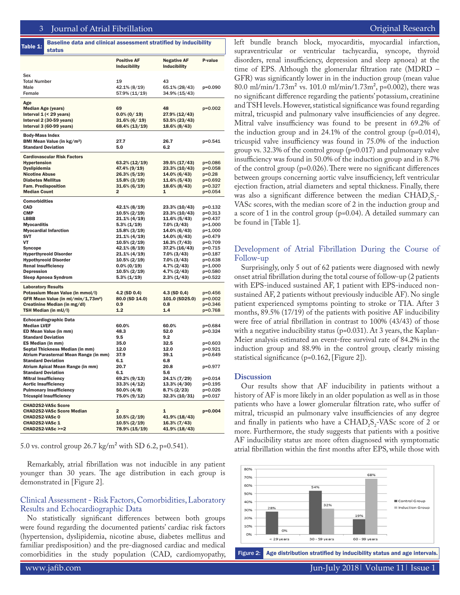|                                                | <b>Positive AF</b>  | <b>Negative AF</b>  | P-value     |
|------------------------------------------------|---------------------|---------------------|-------------|
|                                                | <b>Inducibility</b> | <b>Inducibility</b> |             |
| Sex                                            |                     |                     |             |
| <b>Total Number</b>                            | 19                  | 43                  |             |
| Male                                           | 42.1% (8/19)        | 65.1% (28/43)       | $p=0.090$   |
| Female                                         | 57.9% (11/19)       | 34.9% (15/43)       |             |
|                                                |                     |                     |             |
| Age                                            |                     |                     |             |
| <b>Median Age (years)</b>                      | 69                  | 48                  | $p=0.002$   |
| Interval $1$ (< 29 years)                      | $0.0\%$ (0/19)      | 27.9% (12/43)       |             |
| Interval 2 (30-59 years)                       | $31.6\%$ (6/19)     | 53.5% (23/43)       |             |
| Interval 3 (60-99 years)                       | 68.4% (13/19)       | 18.6% (8/43)        |             |
| <b>Body-Mass Index</b>                         |                     |                     |             |
| BMI Mean Value (in kg/m <sup>2</sup> )         | 27.7                | 26.7                | p=0.541     |
| <b>Standard Deviation</b>                      | 5.0                 | 6.2                 |             |
| <b>Cardiovascular Risk Factors</b>             |                     |                     |             |
| <b>Hypertension</b>                            | 63.2% (12/19)       | 39.5% (17/43)       | $p = 0.086$ |
| Dyslipidemia                                   | 47.4% (9/19)        | 23.3% (10/43)       | $p=0.058$   |
| <b>Nicotine Abuse</b>                          | 26.3% (5/19)        | 14.0% (6/43)        | $p=0.28$    |
| <b>Diabetes Mellitus</b>                       | $15.8\% (3/19)$     | $11.6\%$ (5/43)     | $p=0.692$   |
| <b>Fam. Predisposition</b>                     | $31.6\% (6/19)$     | 18.6% (8/43)        | p=0.327     |
| <b>Median Count</b>                            | 2                   | 1                   | $p=0.054$   |
| <b>Comorbidities</b>                           |                     |                     |             |
| <b>CAD</b>                                     | 42.1% (8/19)        | 23.3% (10/43)       | $p = 0.132$ |
| <b>CMP</b>                                     | $10.5\% (2/19)$     | 23.3% (10/43)       | $p = 0.313$ |
| <b>LBBB</b>                                    | $21.1\% (4/19)$     | 11.6% (5/43)        | $p=0.437$   |
| <b>Myocarditis</b>                             | $5.3\%$ (1/19)      | $7.0\%$ (3/43)      | $p=1.000$   |
| <b>Myocardial Infarction</b>                   | $15.8\% (3/19)$     | 14.0% (6/43)        | p=1.000     |
| <b>SVT</b>                                     | $21.1\% (4/19)$     | 14.0% (6/43)        | p=0.479     |
| <b>VT</b>                                      | $10.5\% (2/19)$     | $16.3\% (7/43)$     | p=0.709     |
| <b>Syncope</b>                                 | 42.1% (8/19)        | 37.2% (16/43)       | p=0.715     |
| <b>Hyperthyreoid Disorder</b>                  | $21.1\% (4/19)$     | $7.0\%$ (3/43)      | $p = 0.187$ |
| <b>Hypothyreoid Disorder</b>                   | $10.5\% (2/19)$     | $7.0\% (3/43)$      | $p=0.638$   |
| <b>Renal Insufficiency</b>                     | $0.0\% (0/19)$      | 4.7% (2/43)         | $p=1.000$   |
| <b>Depression</b>                              | $10.5\% (2/19)$     | 4.7% (2/43)         | p=0.580     |
| <b>Sleep Apnoea Syndrom</b>                    | $5.3\% (1/19)$      | $2.3\%$ (1/43)      | $p=0.522$   |
| <b>Laboratory Results</b>                      |                     |                     |             |
| Potassium Mean Value (in mmol/I)               | 4.2 (SD 0.4)        | $4.3$ (SD $0,4$ )   | $p=0.456$   |
| GFR Mean Value (in ml/min/1,73m <sup>2</sup> ) | 80.0 (SD 14.0)      | 101.0 (SD25.0)      | $p=0.002$   |
| Creatinine Median (in mg/dl)                   | 0.9                 | 0.8                 | $p=0.346$   |
| TSH Median (in mU/I)                           | 1.2                 | 1.4                 | p=0.768     |
| <b>Echocardiographic Data</b>                  |                     |                     |             |
| <b>Median LVEF</b>                             | 60.0%               | 60.0%               | p=0.684     |
| ED Mean Value (in mm)                          | 48.3                | 52.0                | $p=0.324$   |
| <b>Standard Deviation</b>                      | 9.5                 | 9.2                 |             |
| ES Median (in mm)                              | 35.0                | 32.5                | $p = 0.603$ |
| Septal Thickness Median (in mm)                | 12.0                | 12.0                | p=0.921     |
| Atrium Parasternal Mean Range (in mm)          | 37.9                | 39.1                | p=0.649     |
| <b>Standard Deviation</b>                      | 6.1                 | 6.8                 |             |
| Atrium Apical Mean Range (in mm)               | 20.7                | 20.8                | p=0.977     |
| <b>Standard Deviation</b>                      | 6.1                 | 5.6                 |             |
| <b>Mitral Insufficiency</b>                    | $69.2\% (9/13)$     | 24.1% (7/29)        | p=0.014     |
| <b>Aortic Insufficiency</b>                    | $33.3\% (4/12)$     | 13.3% (4/30)        | p=0.195     |
| <b>Pulmonary Insufficiency</b>                 | $50.0\%$ (4/8)      | $8.7\% (2/23)$      | p=0.026     |
| <b>Tricuspid Insufficiency</b>                 | 75.0% (9/12)        | $32.3\% (10/31)$    | p=0.017     |
| <b>CHAD2S2-VASc Score</b>                      |                     |                     |             |
| <b>CHAD2S2-VASc Score Median</b>               | 2                   | 1                   | $p=0.004$   |
| CHAD2S2-VASc 0                                 | $10.5\% (2/19)$     | 41.9% (18/43)       |             |
| CHAD2S2-VASc 1                                 | $10.5\% (2/19)$     | 16.3% (7/43)        |             |
| <b>CHAD2S2-VASc &gt;=2</b>                     | 78.9% (15/19)       | 41.9% (18/43)       |             |

5.0 vs. control group 26.7 kg/m² with SD 6.2, p=0.541).

Remarkably, atrial fibrillation was not inducible in any patient younger than 30 years. The age distribution in each group is demonstrated in [Figure 2].

# Clinical Assessment - Risk Factors, Comorbidities, Laboratory Results and Echocardiographic Data

No statistically significant differences between both groups were found regarding the documented patients' cardiac risk factors (hypertension, dyslipidemia, nicotine abuse, diabetes mellitus and familiar predisposition) and the pre-diagnosed cardiac and medical comorbidities in the study population (CAD, cardiomyopathy, Figure 2: Age distribution stratified by inducibility status and age intervals.

left bundle branch block, myocarditis, myocardial infarction, supraventricular or ventricular tachycardia, syncope, thyroid disorders, renal insufficiency, depression and sleep apnoea) at the time of EPS. Although the glomerular filtration rate (MDRD – GFR) was significantly lower in in the induction group (mean value 80.0 ml/min/1.73m<sup>2</sup> vs. 101.0 ml/min/1.73m<sup>2</sup>, p=0.002), there was no significant difference regarding the patients' potassium, creatinine and TSH levels. However, statistical significance was found regarding mitral, tricuspid and pulmonary valve insufficiencies of any degree. Mitral valve insufficiency was found to be present in 69.2% of the induction group and in 24.1% of the control group (p=0.014), tricuspid valve insufficiency was found in 75.0% of the induction group vs. 32.3% of the control group (p=0.017) and pulmonary valve insufficiency was found in 50.0% of the induction group and in 8.7% of the control group (p=0.026). There were no significant differences between groups concerning aortic valve insufficiency, left ventricular ejection fraction, atrial diameters and septal thickness. Finally, there was also a significant difference between the median  $\text{CHAD}_2\text{S}_2$ VASc scores, with the median score of 2 in the induction group and a score of 1 in the control group (p=0.04). A detailed summary can be found in [Table 1].

# Development of Atrial Fibrillation During the Course of Follow-up

Surprisingly, only 5 out of 62 patients were diagnosed with newly onset atrial fibrillation during the total course of follow-up (2 patients with EPS-induced sustained AF, 1 patient with EPS-induced nonsustained AF, 2 patients without previously inducible AF). No single patient experienced symptoms pointing to stroke or TIA. After 3 months, 89.5% (17/19) of the patients with positive AF inducibility were free of atrial fibrillation in contrast to 100% (43/43) of those with a negative inducibility status ( $p=0.031$ ). At 3 years, the Kaplan-Meier analysis estimated an event-free survival rate of 84.2% in the induction group and 88.9% in the control group, clearly missing statistical significance (p=0.162, [Figure 2]).

#### **Discussion**

Our results show that AF inducibility in patients without a history of AF is more likely in an older population as well as in those patients who have a lower glomerular filtration rate, who suffer of mitral, tricuspid an pulmonary valve insufficiencies of any degree and finally in patients who have a  $CHAD_2S_2$ -VASc score of 2 or more. Furthermore, the study suggests that patients with a positive AF inducibility status are more often diagnosed with symptomatic atrial fibrillation within the first months after EPS, while those with

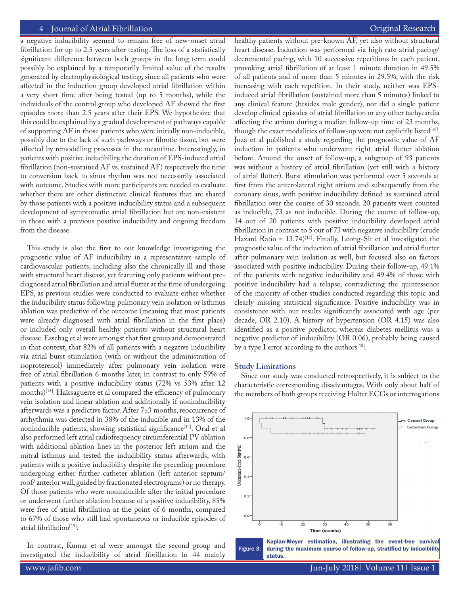# 4 Journal of Atrial Fibrillation **Access 2018** 1999 12:30 November 2018 12:30 November 2018 12:30 November 2019

a negative inducibility seemed to remain free of new-onset atrial fibrillation for up to 2.5 years after testing. The loss of a statistically significant difference between both groups in the long term could possibly be explained by a temporarily limited value of the results generated by electrophysiological testing, since all patients who were affected in the induction group developed atrial fibrillation within a very short time after being tested (up to 5 months), while the individuals of the control group who developed AF showed the first episodes more than 2.5 years after their EPS. We hypothesize that this could be explained by a gradual development of pathways capable of supporting AF in those patients who were initially non-inducible, possibly due to the lack of such pathways or fibrotic tissue, but were affected by remodelling processes in the meantime. Interestingly, in patients with positive inducibility, the duration of EPS-induced atrial fibrillation (non-sustained AF vs. sustained AF) respectively the time to conversion back to sinus rhythm was not necessarily associated with outcome. Studies with more participants are needed to evaluate whether there are other distinctive clinical features that are shared by those patients with a positive inducibility status and a subsequent development of symptomatic atrial fibrillation but are non-existent in those with a previous positive inducibility and ongoing freedom from the disease.

This study is also the first to our knowledge investigating the prognostic value of AF inducibility in a representative sample of cardiovascular patients, including also the chronically ill and those with structural heart disease, yet featuring only patients without prediagnosed atrial fibrillation and atrial flutter at the time of undergoing EPS, as previous studies were conducted to evaluate either whether the inducibility status following pulmonary vein isolation or isthmus ablation was predictive of the outcome (meaning that most patients were already diagnosed with atrial fibrillation in the first place) or included only overall healthy patients without structural heart disease. Essebag et al were amongst that first group and demonstrated in that context, that 82% of all patients with a negative inducibility via atrial burst stimulation (with or without the administration of isoproterenol) immediately after pulmonary vein isolation were free of atrial fibrillation 6 months later, in contrast to only 59% of patients with a positive inducibility status (72% vs 53% after 12 months)[13]. Haïssaguerre et al compared the efficiency of pulmonary vein isolation and linear ablation and additionally if noninducibility afterwards was a predictive factor. After 7±3 months, reoccurrence of arrhythmia was detected in 38% of the inducible and in 13% of the noninducible patients, showing statistical significance<sup>[14]</sup>. Oral et al also performed left atrial radiofrequency circumferential PV ablation with additional ablation lines in the posterior left atrium and the mitral isthmus and tested the inducibility status afterwards, with patients with a positive inducibility despite the preceding procedure undergoing either further catheter ablation (left anterior septum/ roof/ anterior wall, guided by fractionated electrograms) or no therapy. Of those patients who were noninducible after the initial procedure or underwent further ablation because of a positive inducibility, 85% were free of atrial fibrillation at the point of 6 months, compared to 67% of those who still had spontaneous or inducible episodes of atrial fibrillation<sup>[15]</sup>.

In contrast, Kumar et al were amongst the second group and In contrast, Kumar et al were amongst the second group and Figure 3:<br>investigated the inducibility of atrial fibrillation in 44 mainly

healthy patients without pre-known AF, yet also without structural heart disease. Induction was performed via high rate atrial pacing/ decremental pacing, with 10 successive repetitions in each patient, provoking atrial fibrillation of at least 1 minute duration in 49.5% of all patients and of more than 5 minutes in 29.5%, with the risk increasing with each repetition. In their study, neither was EPSinduced atrial fibrillation (sustained more than 5 minutes) linked to any clinical feature (besides male gender), nor did a single patient develop clinical episodes of atrial fibrillation or any other tachycardia affecting the atrium during a median follow-up time of 23 months, though the exact modalities of follow-up were not explicitly listed $[16]$ . Joza et al published a study regarding the prognostic value of AF induction in patients who underwent right atrial flutter ablation before. Around the onset of follow-up, a subgroup of 93 patients was without a history of atrial fibrillation (yet still with a history of atrial flutter). Burst stimulation was performed over 5 seconds at first from the anterolateral right atrium and subsequently from the coronary sinus, with positive inducibility defined as sustained atrial fibrillation over the course of 30 seconds. 20 patients were counted as inducible, 73 as not inducible. During the course of follow-up, 14 out of 20 patients with positive inducibility developed atrial fibrillation in contrast to 5 out of 73 with negative inducibility (crude Hazard Ratio =  $13.74$ <sup>[17]</sup>. Finally, Leong-Sit et al investigated the prognostic value of the induction of atrial fibrillation and atrial flutter after pulmonary vein isolation as well, but focused also on factors associated with positive inducibility. During their follow-up, 49.1% of the patients with negative inducibility and 49.4% of those with positive inducibility had a relapse, contradicting the quintessence of the majority of other studies conducted regarding this topic and clearly missing statistical significance. Positive inducibility was in consistence with our results significantly associated with age (per decade, OR 2.10). A history of hypertension (OR 4.15) was also identified as a positive predictor, whereas diabetes mellitus was a negative predictor of inducibility (OR 0.06), probably being caused by a type I error according to the authors $[18]$ .

#### **Study Limitations**

Since our study was conducted retrospectively, it is subject to the characteristic corresponding disadvantages. With only about half of the members of both groups receiving Holter ECGs or interrogations